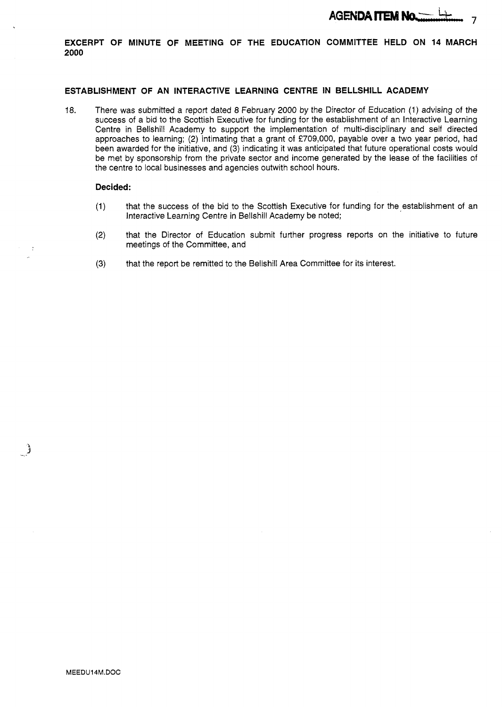

**EXCERPT OF MINUTE OF MEETING OF THE EDUCATION COMMITTEE HELD ON 14 MARCH 2000** 

### **ESTABLISHMENT OF AN INTERACTIVE LEARNING CENTRE IN BELLSHILL ACADEMY**

18. There was submitted a report dated *8* February 2000 by the Director of Education (1) advising of the success of a bid to the Scottish Executive for funding for the establishment of an Interactive Learning Centre in Bellshill Academy to support the implementation of multi-disciplinary and self directed approaches to learning; **(2)** intimating that a grant of €709,000, payable over a two year period, had been awarded for the initiative, and (3) indicating it was anticipated that future operational costs would be met by sponsorship from the private sector and income generated by the lease of the facilities of the centre to local businesses and agencies outwith school hours.

#### **Decided:**

- (1) that the success of the bid to the Scottish Executive for funding for the establishment of an Interactive Learning Centre in Bellshill Academy be noted;
- **(2)** that the Director of Education submit further progress reports on the initiative to future meetings of the Committee, and
- **(3)** that the report be remitted to the Bellshill Area Committee for its interest.

- 3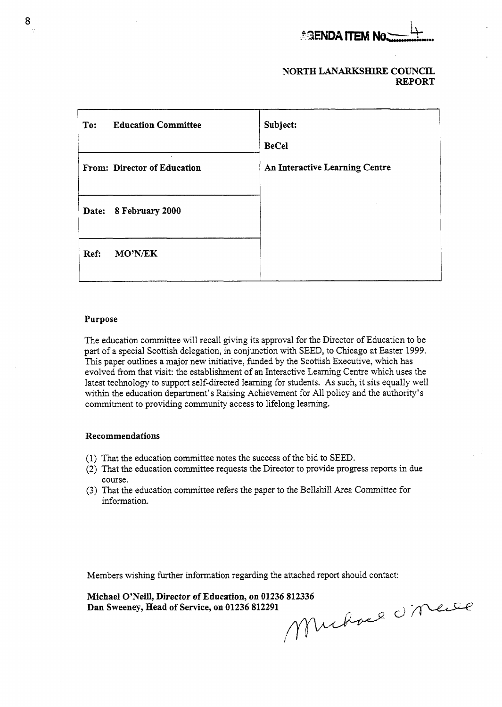

## **NORTH LANARKSHIRE COUNCIL REPORT**

| <b>AGENDA ITEM NO.</b>                                                                                                                                                                                                                                                                                                                                                                                                                                                                                                                                                                                                                                                              |                                                |  |  |  |
|-------------------------------------------------------------------------------------------------------------------------------------------------------------------------------------------------------------------------------------------------------------------------------------------------------------------------------------------------------------------------------------------------------------------------------------------------------------------------------------------------------------------------------------------------------------------------------------------------------------------------------------------------------------------------------------|------------------------------------------------|--|--|--|
| NORTH LANARKSHIRE COUNCIL<br><b>REPORT</b>                                                                                                                                                                                                                                                                                                                                                                                                                                                                                                                                                                                                                                          |                                                |  |  |  |
| <b>Education Committee</b><br>To:                                                                                                                                                                                                                                                                                                                                                                                                                                                                                                                                                                                                                                                   | Subject:                                       |  |  |  |
| From: Director of Education                                                                                                                                                                                                                                                                                                                                                                                                                                                                                                                                                                                                                                                         | <b>BeCel</b><br>An Interactive Learning Centre |  |  |  |
| Date: 8 February 2000                                                                                                                                                                                                                                                                                                                                                                                                                                                                                                                                                                                                                                                               |                                                |  |  |  |
| MO'N/EK<br>Ref:                                                                                                                                                                                                                                                                                                                                                                                                                                                                                                                                                                                                                                                                     |                                                |  |  |  |
| Purpose<br>The education committee will recall giving its approval for the Director of Education to be<br>part of a special Scottish delegation, in conjunction with SEED, to Chicago at Easter 1999.<br>This paper outlines a major new initiative, funded by the Scottish Executive, which has<br>evolved from that visit: the establishment of an Interactive Learning Centre which uses the<br>latest technology to support self-directed learning for students. As such, it sits equally well<br>within the education department's Raising Achievement for All policy and the authority's<br>commitment to providing community access to lifelong learning.<br>Recommendations |                                                |  |  |  |

#### **Purpose**

#### **Recommendations**

- (1) That the education committee notes the success of the bid to SEED.
- **(2)** That the education committee requests the Director to provide progress reports in due course.
- (3) That the education committee refers the paper to the Bellshill Area Committee for information.

Members wishing further information regarding the attached report should contact:

**Dan Sweeney, Head of Service, on 01236 812291** 

**Michael O'Neill, Director of Education, on 01236 812336**<br> **Dan Sweeney, Head of Service, on 01236 812291**<br>  $\bigwedge \bigwedge_{i} \bigwedge_{j} \bigwedge_{k} \bigwedge_{k} \bigwedge_{k} \bigwedge_{k} \bigwedge_{k} \bigwedge_{k} \bigwedge_{k} \bigwedge_{k} \bigwedge_{k} \bigwedge_{k} \bigwedge_{k} \bigwedge_{k} \bigwedge_{k} \bigwedge$ s in due<br>e for<br>t:<br>U MeLle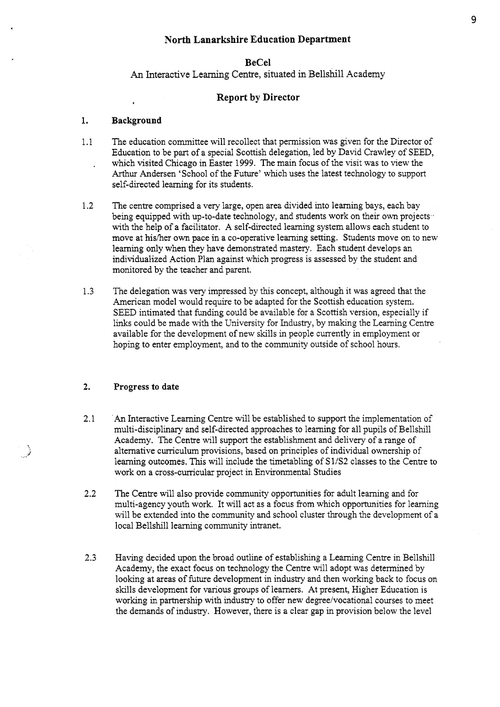# **North Lanarkshire Education Department**

## **BeCel**

*An* Interactive Learning Centre, situated in Bellshill Academy

# **Report by Director**

#### 1. **Background**

- 1.1 The education committee will recollect that permission was given for the Director of Education to be part of a special Scottish delegation, led by David Crawley of SEED, which visited Chicago in Easter 1999. The main focus of the visit was to view the Arthur Andersen 'School of the Future' which uses the latest technology to support self-directed learning for its students. ,
- 1.2 The centre comprised a very large, open area divided into learning bays, each bay being equipped with up-to-date technology, and students work on their own projects. with the help of a facilitator. A self-directed learning system allows each student to move at his/her own pace in a co-operative learning setting. Students move on to new learning only when they have demonstrated mastery. Each student develops an individualized Action Plan against which progress is assessed by the student and monitored by the teacher and parent.
- 1.3 The delegation was very impressed by this concept, although it was agreed that the American model would require to be adapted for the Scottish education system. SEED intimated that funding could be available for a Scottish version, especially if links could be made with the University for Industry, by making the Learning Centre available for the development of new skills in people currently in employment or hoping to enter employment, and to the community outside of school hours.

#### **2. Progress to date**

- 2.1 **.An** Interactive Learning Centre will be established to support the implementation of multi-disciplinary and self-directed approaches to learning for all pupils of Bellshill Academy. The Centre will support the establishment and delivery of a range of alternative curriculum provisions, based on principles of individual ownership of learning outcomes. This will include the timetabling of **SUS2** classes to the Centre to work on a cross-curricular project in Environmental Studies
- **2.2** The Centre will also provide community opportunities for adult learning and for multi-agency youth work. It will act as a focus **from** which opportunities for learning will be extended into the community and school cluster through the development of a local Bellshill learning community intranet.
- 2.3 Having decided upon the broad outline of establishing a Learning Centre in Bellshill Academy, the exact focus on technology the Centre will adopt was determined by looking at areas of future development in industry and then working back to focus on skills development for various groups of learners. At present, Higher Education is working in partnership with industry to offer new degree/vocational courses to meet the demands of industry. However, there is a clear gap in provision below the level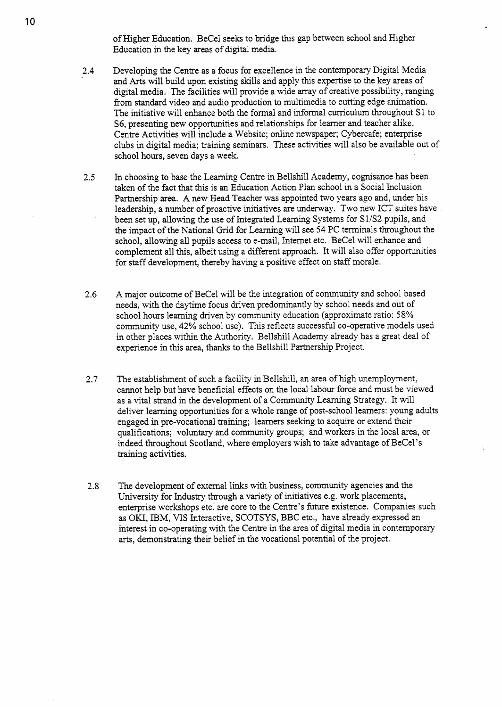of Higher Education. BeCel seeks to bridge this gap between school and Higher Education in the key areas of digital media.

- **2.4**  Developing the Centre as a focus for excellence in the contemporary Digital Media and *Arts* will build upon existing skills and apply this expertise to the key areas of digital media. The facilities will provide a wide array of creative possibility, ranging from standard video and audio production to multimedia to cutting edge animation. The initiative will enhance both the formal and informal curriculum throughout S 1 to **S6,** presenting new opportunities and relationships for learner and teacher alike. Centre Activities will include a Website; online newspaper; Cybercafe; enterprise clubs in digital media; training seminars. These activities will also be available out of school hours, seven days a week.
- **2.5** In choosing to base the Learning Centre in Bellshill Academy, cognisance has been taken of the fact that this is an Education Action Plan school in a Social Inclusion Partnership area. A new Head Teacher was appointed two years ago and, under his leadership, a number of proactive initiatives are underway. Two new ICT suites have been set up, allowing the use of Integrated Learning Systems for S1/S2 pupils, and the impact of the National Grid for Learning will see **54** PC terminals throughout the school, allowing all pupils access to e-mail, Internet etc. BeCel will enhance and complement all this, albeit using a different approach. It will also offer opportunities for staff development, thereby having a positive effect on staff morale.
- *2.6* A major outcome of BeCel will be the integration of community and school based needs, with the daytime focus driven predominantly by school needs and out of school hours learning driven by community education (approximate ratio: **58%**  community use, **42%** school use). This reflects successful co-operative models used in other places within the Authority. Bellshill Academy already has a great deal of experience in this area, thanks to the Bellshill Partnership Project.
- **2.7** The establishment of such a facility in Bellshill, an area of high unemployment, cannot help but have beneficial effects on the local labour force and must be viewed as a vital strand in the development of a Community Learning Strategy. It will deliver learning opportunities for a whole range of post-school learners: young adults engaged in pre-vocational training; learners seeking to acquire or extend their qualifications; voluntary and community groups; and workers in the local area, or indeed throughout Scotland, where employers wish to take advantage of BeCel's training activities.
- **2.8** The development of external llnks with business, community agencies and the University for Industry through a variety of initiatives e.g. work placements, enterprise workshops etc: are core to the Centre's future existence. Companies such as OKI, IBM, VIS Interactive, **SCOTSYS,** BBC etc., have already expressed an interest in co-operating with the Centre in the area of digital media in contemporary arts, demonstrating their belief in the vocational potential of the project.